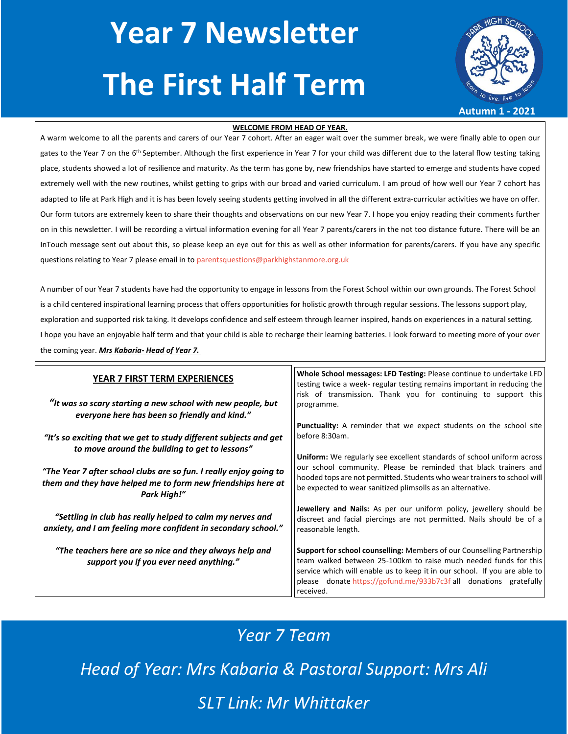# **Year 7 Newsletter The First Half Term**



#### **WELCOME FROM HEAD OF YEAR.**

A warm welcome to all the parents and carers of our Year 7 cohort. After an eager wait over the summer break, we were finally able to open our gates to the Year 7 on the 6<sup>th</sup> September. Although the first experience in Year 7 for your child was different due to the lateral flow testing taking place, students showed a lot of resilience and maturity. As the term has gone by, new friendships have started to emerge and students have coped extremely well with the new routines, whilst getting to grips with our broad and varied curriculum. I am proud of how well our Year 7 cohort has adapted to life at Park High and it is has been lovely seeing students getting involved in all the different extra-curricular activities we have on offer. Our form tutors are extremely keen to share their thoughts and observations on our new Year 7. I hope you enjoy reading their comments further on in this newsletter. I will be recording a virtual information evening for all Year 7 parents/carers in the not too distance future. There will be an InTouch message sent out about this, so please keep an eye out for this as well as other information for parents/carers. If you have any specific questions relating to Year 7 please email in to [parentsquestions@parkhighstanmore.org.uk](mailto:parentsquestions@parkhighstanmore.org.uk)

A number of our Year 7 students have had the opportunity to engage in lessons from the Forest School within our own grounds. The Forest School is a child centered inspirational learning process that offers opportunities for holistic growth through regular sessions. The lessons support play, exploration and supported risk taking. It develops confidence and self esteem through learner inspired, hands on experiences in a natural setting. I hope you have an enjoyable half term and that your child is able to recharge their learning batteries. I look forward to meeting more of your over the coming year. *Mrs Kabaria- Head of Year 7.* 

| YEAR 7 FIRST TERM EXPERIENCES                                                                                                                     | Whole School messages: LFD Testing: Please continue to undertake LFD<br>testing twice a week- regular testing remains important in reducing the                                                                                                                                                              |
|---------------------------------------------------------------------------------------------------------------------------------------------------|--------------------------------------------------------------------------------------------------------------------------------------------------------------------------------------------------------------------------------------------------------------------------------------------------------------|
| "It was so scary starting a new school with new people, but<br>everyone here has been so friendly and kind."                                      | risk of transmission. Thank you for continuing to support this<br>programme.                                                                                                                                                                                                                                 |
| "It's so exciting that we get to study different subjects and get<br>to move around the building to get to lessons"                               | <b>Punctuality:</b> A reminder that we expect students on the school site<br>before 8:30am.                                                                                                                                                                                                                  |
| "The Year 7 after school clubs are so fun. I really enjoy going to<br>them and they have helped me to form new friendships here at<br>Park High!" | Uniform: We regularly see excellent standards of school uniform across<br>our school community. Please be reminded that black trainers and<br>  hooded tops are not permitted. Students who wear trainers to school will<br>be expected to wear sanitized plimsolls as an alternative.                       |
| "Settling in club has really helped to calm my nerves and<br>anxiety, and I am feeling more confident in secondary school."                       | Jewellery and Nails: As per our uniform policy, jewellery should be<br>discreet and facial piercings are not permitted. Nails should be of a<br>reasonable length.                                                                                                                                           |
| "The teachers here are so nice and they always help and<br>support you if you ever need anything."                                                | Support for school counselling: Members of our Counselling Partnership<br>team walked between 25-100km to raise much needed funds for this<br>service which will enable us to keep it in our school. If you are able to<br>donate https://gofund.me/933b7c3f all donations gratefully<br>please<br>received. |

## *Year 7 Team*

*Head of Year: Mrs Kabaria & Pastoral Support: Mrs Ali*

*SLT Link: Mr Whittaker*